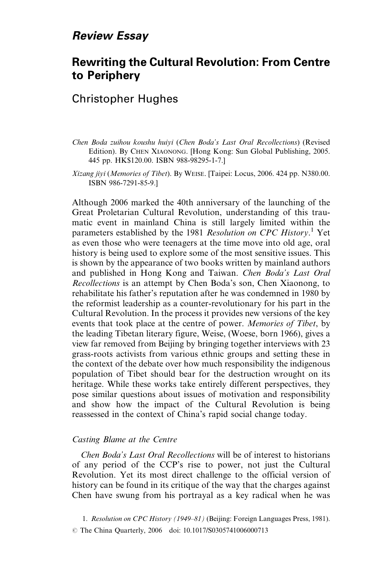## **Review Essay**

# **Rewriting the Cultural Revolution: From Centre** to Periphery

## **Christopher Hughes**

- Chen Boda zuihou koushu huiyi (Chen Boda's Last Oral Recollections) (Revised Edition). By CHEN XIAONONG. [Hong Kong: Sun Global Publishing, 2005. 445 pp. HK\$120.00. ISBN 988-98295-1-7.]
- Xizang jiyi (Memories of Tibet). By WEISE. [Taipei: Locus, 2006. 424 pp. N380.00. ISBN 986-7291-85-9.]

Although 2006 marked the 40th anniversary of the launching of the Great Proletarian Cultural Revolution, understanding of this traumatic event in mainland China is still largely limited within the parameters established by the 1981 Resolution on CPC History.<sup>1</sup> Yet as even those who were teenagers at the time move into old age, oral history is being used to explore some of the most sensitive issues. This is shown by the appearance of two books written by mainland authors and published in Hong Kong and Taiwan. Chen Boda's Last Oral *Recollections* is an attempt by Chen Boda's son, Chen Xiaonong, to rehabilitate his father's reputation after he was condemned in 1980 by the reformist leadership as a counter-revolutionary for his part in the Cultural Revolution. In the process it provides new versions of the key events that took place at the centre of power. Memories of Tibet, by the leading Tibetan literary figure, Weise, (Woese, born 1966), gives a view far removed from Beijing by bringing together interviews with 23 grass-roots activists from various ethnic groups and setting these in the context of the debate over how much responsibility the indigenous population of Tibet should bear for the destruction wrought on its heritage. While these works take entirely different perspectives, they pose similar questions about issues of motivation and responsibility and show how the impact of the Cultural Revolution is being reassessed in the context of China's rapid social change today.

### Casting Blame at the Centre

*Chen Boda's Last Oral Recollections* will be of interest to historians of any period of the CCP's rise to power, not just the Cultural Revolution. Yet its most direct challenge to the official version of history can be found in its critique of the way that the charges against Chen have swung from his portrayal as a key radical when he was

<sup>1.</sup> Resolution on CPC History (1949–81) (Beijing: Foreign Languages Press, 1981). © The China Quarterly, 2006 doi: 10.1017/S0305741006000713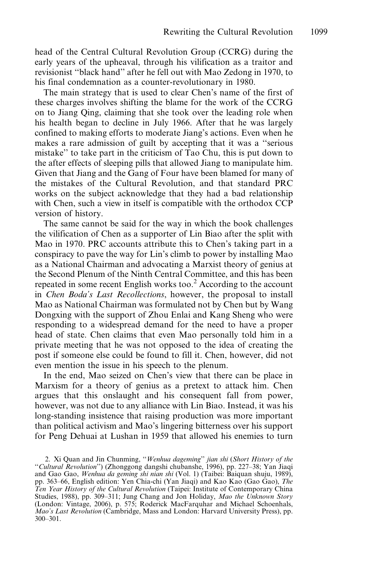head of the Central Cultural Revolution Group (CCRG) during the early years of the upheaval, through his vilification as a traitor and revisionist "black hand" after he fell out with Mao Zedong in 1970, to his final condemnation as a counter-revolutionary in 1980.

The main strategy that is used to clear Chen's name of the first of these charges involves shifting the blame for the work of the CCRG on to Jiang Oing, claiming that she took over the leading role when his health began to decline in July 1966. After that he was largely confined to making efforts to moderate Jiang's actions. Even when he makes a rare admission of guilt by accepting that it was a "serious" mistake" to take part in the criticism of Tao Chu, this is put down to the after effects of sleeping pills that allowed Jiang to manipulate him. Given that Jiang and the Gang of Four have been blamed for many of the mistakes of the Cultural Revolution, and that standard PRC works on the subject acknowledge that they had a bad relationship with Chen, such a view in itself is compatible with the orthodox CCP version of history.

The same cannot be said for the way in which the book challenges the vilification of Chen as a supporter of Lin Biao after the split with Mao in 1970. PRC accounts attribute this to Chen's taking part in a conspiracy to pave the way for Lin's climb to power by installing Mao as a National Chairman and advocating a Marxist theory of genius at the Second Plenum of the Ninth Central Committee, and this has been repeated in some recent English works too.<sup>2</sup> According to the account in Chen Boda's Last Recollections, however, the proposal to install Mao as National Chairman was formulated not by Chen but by Wang Dongxing with the support of Zhou Enlai and Kang Sheng who were responding to a widespread demand for the need to have a proper head of state. Chen claims that even Mao personally told him in a private meeting that he was not opposed to the idea of creating the post if someone else could be found to fill it. Chen, however, did not even mention the issue in his speech to the plenum.

In the end, Mao seized on Chen's view that there can be place in Marxism for a theory of genius as a pretext to attack him. Chen argues that this onslaught and his consequent fall from power, however, was not due to any alliance with Lin Biao. Instead, it was his long-standing insistence that raising production was more important than political activism and Mao's lingering bitterness over his support for Peng Dehuai at Lushan in 1959 that allowed his enemies to turn

<sup>2.</sup> Xi Quan and Jin Chunming, "Wenhua dageming" jian shi (Short History of the "Cultural Revolution") (Zhonggong dangshi chubanshe, 1996), pp. 227–38; Yan Jiaqi and Gao Gao, Wenhua da geming shi nian shi (Vol. 1) (Taibei: Baiquan shuju, 1989), pp. 363-66, English edition: Yen Chia-chi (Yan Jiaqi) and Kao Kao (Gao Gao), The Ten Year History of the Cultural Revolution (Taipei: Institute of Contemporary China Studies, 1988), pp. 309–311; Jung Chang and Jon Holiday, Mao the Unknown Story (London: Vintage, 2006), p. 575; Roderick MacFarquhar and Michael Schoenhals, Mao's Last Revolution (Cambridge, Mass and London: Harvard University Press), pp.  $300 - 301$ .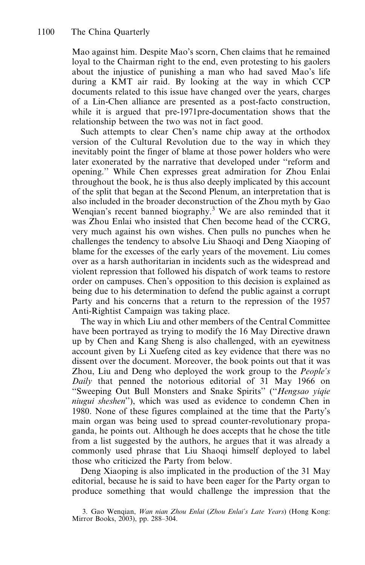Mao against him. Despite Mao's scorn, Chen claims that he remained loyal to the Chairman right to the end, even protesting to his gaolers about the injustice of punishing a man who had saved Mao's life during a KMT air raid. By looking at the way in which CCP documents related to this issue have changed over the years, charges of a Lin-Chen alliance are presented as a post-facto construction, while it is argued that pre-1971pre-documentation shows that the relationship between the two was not in fact good.

Such attempts to clear Chen's name chip away at the orthodox version of the Cultural Revolution due to the way in which they inevitably point the finger of blame at those power holders who were later exonerated by the narrative that developed under "reform and opening." While Chen expresses great admiration for Zhou Enlai throughout the book, he is thus also deeply implicated by this account of the split that began at the Second Plenum, an interpretation that is also included in the broader deconstruction of the Zhou myth by Gao Wenqian's recent banned biography.<sup>3</sup> We are also reminded that it was Zhou Enlai who insisted that Chen become head of the CCRG, very much against his own wishes. Chen pulls no punches when he challenges the tendency to absolve Liu Shaoqi and Deng Xiaoping of blame for the excesses of the early years of the movement. Liu comes over as a harsh authoritarian in incidents such as the widespread and violent repression that followed his dispatch of work teams to restore order on campuses. Chen's opposition to this decision is explained as being due to his determination to defend the public against a corrupt Party and his concerns that a return to the repression of the 1957 Anti-Rightist Campaign was taking place.

The way in which Liu and other members of the Central Committee have been portrayed as trying to modify the 16 May Directive drawn up by Chen and Kang Sheng is also challenged, with an eyewitness account given by Li Xuefeng cited as key evidence that there was no dissent over the document. Moreover, the book points out that it was Zhou, Liu and Deng who deployed the work group to the *People's* Daily that penned the notorious editorial of 31 May 1966 on "Sweeping Out Bull Monsters and Snake Spirits" ("Hengsao yiqie niugui sheshen"), which was used as evidence to condemn Chen in 1980. None of these figures complained at the time that the Party's main organ was being used to spread counter-revolutionary propaganda, he points out. Although he does accepts that he chose the title from a list suggested by the authors, he argues that it was already commonly used phrase that Liu Shaoqi himself deployed to label those who criticized the Party from below.

Deng Xiaoping is also implicated in the production of the 31 May editorial, because he is said to have been eager for the Party organ to produce something that would challenge the impression that the

<sup>3.</sup> Gao Wenqian, Wan nian Zhou Enlai (Zhou Enlai's Late Years) (Hong Kong: Mirror Books, 2003), pp. 288-304.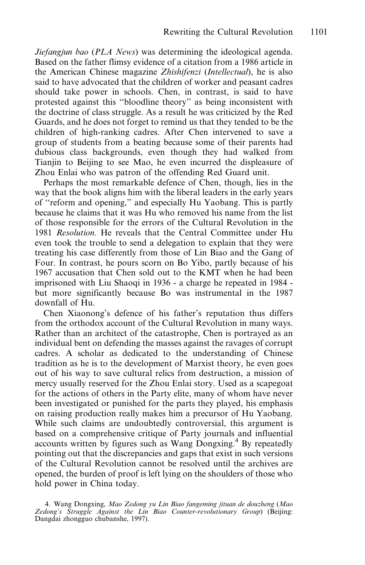Jiefangjun bao (PLA News) was determining the ideological agenda. Based on the father flimsy evidence of a citation from a 1986 article in the American Chinese magazine Zhishifenzi (Intellectual), he is also said to have advocated that the children of worker and peasant cadres should take power in schools. Chen, in contrast, is said to have protested against this "bloodline theory" as being inconsistent with the doctrine of class struggle. As a result he was criticized by the Red Guards, and he does not forget to remind us that they tended to be the children of high-ranking cadres. After Chen intervened to save a group of students from a beating because some of their parents had dubious class backgrounds, even though they had walked from Tianjin to Beijing to see Mao, he even incurred the displeasure of Zhou Enlai who was patron of the offending Red Guard unit.

Perhaps the most remarkable defence of Chen, though, lies in the way that the book aligns him with the liberal leaders in the early years of "reform and opening," and especially Hu Yaobang. This is partly because he claims that it was Hu who removed his name from the list of those responsible for the errors of the Cultural Revolution in the 1981 Resolution. He reveals that the Central Committee under Hu even took the trouble to send a delegation to explain that they were treating his case differently from those of Lin Biao and the Gang of Four. In contrast, he pours scorn on Bo Yibo, partly because of his 1967 accusation that Chen sold out to the KMT when he had been imprisoned with Liu Shaoqi in 1936 - a charge he repeated in 1984 but more significantly because Bo was instrumental in the 1987 downfall of Hu.

Chen Xiaonong's defence of his father's reputation thus differs from the orthodox account of the Cultural Revolution in many ways. Rather than an architect of the catastrophe, Chen is portrayed as an individual bent on defending the masses against the ravages of corrupt cadres. A scholar as dedicated to the understanding of Chinese tradition as he is to the development of Marxist theory, he even goes out of his way to save cultural relics from destruction, a mission of mercy usually reserved for the Zhou Enlai story. Used as a scapegoat for the actions of others in the Party elite, many of whom have never been investigated or punished for the parts they played, his emphasis on raising production really makes him a precursor of Hu Yaobang. While such claims are undoubtedly controversial, this argument is based on a comprehensive critique of Party journals and influential accounts written by figures such as Wang Dongxing.<sup>4</sup> By repeatedly pointing out that the discrepancies and gaps that exist in such versions of the Cultural Revolution cannot be resolved until the archives are opened, the burden of proof is left lying on the shoulders of those who hold power in China today.

<sup>4.</sup> Wang Dongxing, Mao Zedong yu Lin Biao fangeming jituan de douzheng (Mao Zedong's Struggle Against the Lin Biao Counter-revolutionary Group) (Beijing: Dangdai zhongguo chubanshe, 1997).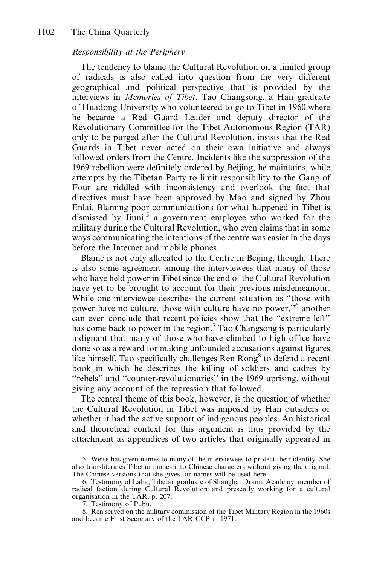### Responsibility at the Periphery

The tendency to blame the Cultural Revolution on a limited group of radicals is also called into question from the very different geographical and political perspective that is provided by the interviews in *Memories of Tibet*. Tao Changsong, a Han graduate of Huadong University who volunteered to go to Tibet in 1960 where he became a Red Guard Leader and deputy director of the Revolutionary Committee for the Tibet Autonomous Region (TAR) only to be purged after the Cultural Revolution, insists that the Red Guards in Tibet never acted on their own initiative and always followed orders from the Centre. Incidents like the suppression of the 1969 rebellion were definitely ordered by Beijing, he maintains, while attempts by the Tibetan Party to limit responsibility to the Gang of Four are riddled with inconsistency and overlook the fact that directives must have been approved by Mao and signed by Zhou Enlai. Blaming poor communications for what happened in Tibet is dismissed by  $\text{Jiuni}^5$  a government employee who worked for the military during the Cultural Revolution, who even claims that in some ways communicating the intentions of the centre was easier in the days before the Internet and mobile phones.

Blame is not only allocated to the Centre in Beijing, though. There is also some agreement among the interviewees that many of those who have held power in Tibet since the end of the Cultural Revolution have yet to be brought to account for their previous misdemeanour. While one interviewee describes the current situation as "those with power have no culture, those with culture have no power,"<sup>6</sup> another can even conclude that recent policies show that the "extreme left" has come back to power in the region.<sup>7</sup> Tao Changsong is particularly indignant that many of those who have climbed to high office have done so as a reward for making unfounded accusations against figures like himself. Tao specifically challenges Ren Rong<sup>8</sup> to defend a recent book in which he describes the killing of soldiers and cadres by "rebels" and "counter-revolutionaries" in the 1969 uprising, without giving any account of the repression that followed.

The central theme of this book, however, is the question of whether the Cultural Revolution in Tibet was imposed by Han outsiders or whether it had the active support of indigenous peoples. An historical and theoretical context for this argument is thus provided by the attachment as appendices of two articles that originally appeared in

7. Testimony of Pubu.

8. Ren served on the military commission of the Tibet Military Region in the 1960s and became First Secretary of the TAR CCP in 1971.

<sup>5.</sup> Weise has given names to many of the interviewees to protect their identity. She also transliterates Tibetan names into Chinese characters without giving the original. The Chinese versions that she gives for names will be used here.

<sup>6.</sup> Testimony of Laba, Tibetan graduate of Shanghai Drama Academy, member of radical faction during Cultural Revolution and presently working for a cultural organisation in the TAR, p. 207.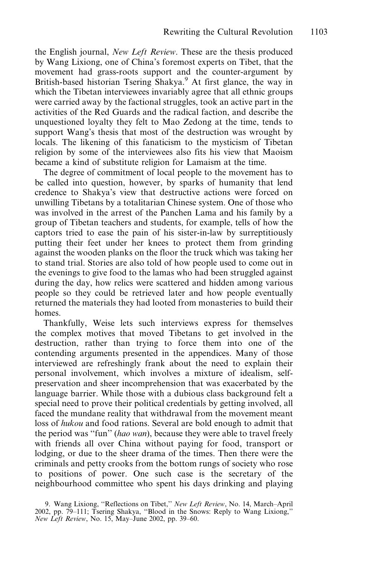the English journal, *New Left Review*. These are the thesis produced by Wang Lixiong, one of China's foremost experts on Tibet, that the movement had grass-roots support and the counter-argument by British-based historian Tsering Shakya.<sup>9</sup> At first glance, the way in which the Tibetan interviewees invariably agree that all ethnic groups were carried away by the factional struggles, took an active part in the activities of the Red Guards and the radical faction, and describe the unquestioned loyalty they felt to Mao Zedong at the time, tends to support Wang's thesis that most of the destruction was wrought by locals. The likening of this fanaticism to the mysticism of Tibetan religion by some of the interviewees also fits his view that Maoism became a kind of substitute religion for Lamaism at the time.

The degree of commitment of local people to the movement has to be called into question, however, by sparks of humanity that lend credence to Shakya's view that destructive actions were forced on unwilling Tibetans by a totalitarian Chinese system. One of those who was involved in the arrest of the Panchen Lama and his family by group of Tibetan teachers and students, for example, tells of how the captors tried to ease the pain of his sister-in-law by surreptitiously putting their feet under her knees to protect them from grinding against the wooden planks on the floor the truck which was taking her to stand trial. Stories are also told of how people used to come out in the evenings to give food to the lamas who had been struggled against during the day, how relics were scattered and hidden among various people so they could be retrieved later and how people eventually returned the materials they had looted from monasteries to build their homes.

Thankfully, Weise lets such interviews express for themselves the complex motives that moved Tibetans to get involved in the destruction, rather than trying to force them into one of the contending arguments presented in the appendices. Many of those interviewed are refreshingly frank about the need to explain their personal involvement, which involves a mixture of idealism, selfpreservation and sheer incomprehension that was exacerbated by the language barrier. While those with a dubious class background felt . special need to prove their political credentials by getting involved, all faced the mundane reality that withdrawal from the movement meant loss of *hukou* and food rations. Several are bold enough to admit that the period was "fun" (hao wan), because they were able to travel freely with friends all over China without paying for food, transport or lodging, or due to the sheer drama of the times. Then there were the criminals and petty crooks from the bottom rungs of society who rose to positions of power. One such case is the secretary of the neighbourhood committee who spent his days drinking and playing

<sup>9.</sup> Wang Lixiong, "Reflections on Tibet," *New Left Review*, No. 14, March–April 2002, pp. 79–111; Tsering Shakya, "Blood in the Snows: Reply to Wang Lixiong," New Left Review, No. 15, May-June 2002, pp. 39-60.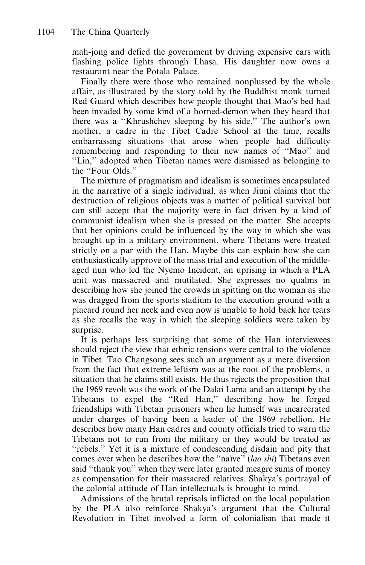mah-jong and defied the government by driving expensive cars with flashing police lights through Lhasa. His daughter now owns a restaurant near the Potala Palace.

Finally there were those who remained nonplussed by the whole affair, as illustrated by the story told by the Buddhist monk turned Red Guard which describes how people thought that Mao's bed had been invaded by some kind of a horned-demon when they heard that there was a "Khrushchev sleeping by his side." The author's own mother, a cadre in the Tibet Cadre School at the time, recalls embarrassing situations that arose when people had difficulty remembering and responding to their new names of "Mao" and "Lin," adopted when Tibetan names were dismissed as belonging to the "Four Olds."

The mixture of pragmatism and idealism is sometimes encapsulated in the narrative of a single individual, as when Jiuni claims that the destruction of religious objects was a matter of political survival but can still accept that the majority were in fact driven by a kind of communist idealism when she is pressed on the matter. She accepts that her opinions could be influenced by the way in which she was brought up in a military environment, where Tibetans were treated strictly on a par with the Han. Maybe this can explain how she can enthusiastically approve of the mass trial and execution of the middleaged nun who led the Nyemo Incident, an uprising in which a PLA unit was massacred and mutilated. She expresses no qualms in describing how she joined the crowds in spitting on the woman as she was dragged from the sports stadium to the execution ground with a placard round her neck and even now is unable to hold back her tears as she recalls the way in which the sleeping soldiers were taken by surprise.

It is perhaps less surprising that some of the Han interviewees should reject the view that ethnic tensions were central to the violence in Tibet. Tao Changsong sees such an argument as a mere diversion from the fact that extreme leftism was at the root of the problems, a situation that he claims still exists. He thus rejects the proposition that the 1969 revolt was the work of the Dalai Lama and an attempt by the Tibetans to expel the "Red Han," describing how he forged friendships with Tibetan prisoners when he himself was incarcerated under charges of having been a leader of the 1969 rebellion. He describes how many Han cadres and county officials tried to warn the Tibetans not to run from the military or they would be treated as "rebels." Yet it is a mixture of condescending disdain and pity that comes over when he describes how the "naïve" (lao shi) Tibetans even said "thank you" when they were later granted meagre sums of money as compensation for their massacred relatives. Shakya's portrayal of the colonial attitude of Han intellectuals is brought to mind.

Admissions of the brutal reprisals inflicted on the local population by the PLA also reinforce Shakya's argument that the Cultural Revolution in Tibet involved a form of colonialism that made it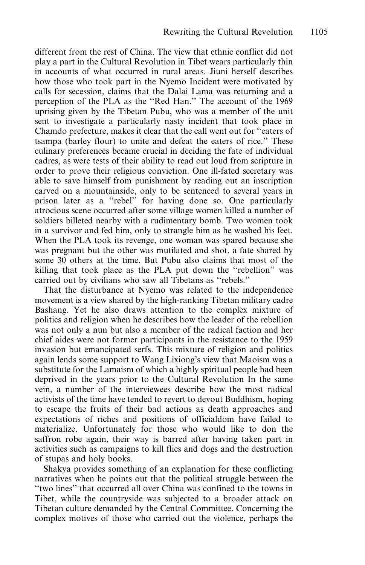different from the rest of China. The view that ethnic conflict did not play a part in the Cultural Revolution in Tibet wears particularly thin in accounts of what occurred in rural areas. Jiuni herself describes how those who took part in the Nyemo Incident were motivated by calls for secession, claims that the Dalai Lama was returning and a perception of the PLA as the "Red Han." The account of the 1969 uprising given by the Tibetan Pubu, who was a member of the unit sent to investigate a particularly nasty incident that took place in Chamdo prefecture, makes it clear that the call went out for "eaters of tsampa (barley flour) to unite and defeat the eaters of rice." These culinary preferences became crucial in deciding the fate of individual cadres, as were tests of their ability to read out loud from scripture in order to prove their religious conviction. One ill-fated secretary was able to save himself from punishment by reading out an inscription carved on a mountainside, only to be sentenced to several years in prison later as a "rebel" for having done so. One particularly atrocious scene occurred after some village women killed a number of soldiers billeted nearby with a rudimentary bomb. Two women took in a survivor and fed him, only to strangle him as he washed his feet. When the PLA took its revenge, one woman was spared because she was pregnant but the other was mutilated and shot, a fate shared by some 30 others at the time. But Pubu also claims that most of the killing that took place as the PLA put down the "rebellion" was carried out by civilians who saw all Tibetans as "rebels."

That the disturbance at Nyemo was related to the independence movement is a view shared by the high-ranking Tibetan military cadre Bashang. Yet he also draws attention to the complex mixture of politics and religion when he describes how the leader of the rebellion was not only a nun but also a member of the radical faction and her chief aides were not former participants in the resistance to the 1959 invasion but emancipated serfs. This mixture of religion and politics again lends some support to Wang Lixiong's view that Maoism was a substitute for the Lamaism of which a highly spiritual people had been deprived in the years prior to the Cultural Revolution In the same vein, a number of the interviewees describe how the most radical activists of the time have tended to revert to devout Buddhism, hoping to escape the fruits of their bad actions as death approaches and expectations of riches and positions of officialdom have failed to materialize. Unfortunately for those who would like to don the saffron robe again, their way is barred after having taken part in activities such as campaigns to kill flies and dogs and the destruction of stupas and holy books.

Shakya provides something of an explanation for these conflicting narratives when he points out that the political struggle between the "two lines" that occurred all over China was confined to the towns in Tibet, while the countryside was subjected to a broader attack on Tibetan culture demanded by the Central Committee. Concerning the complex motives of those who carried out the violence, perhaps the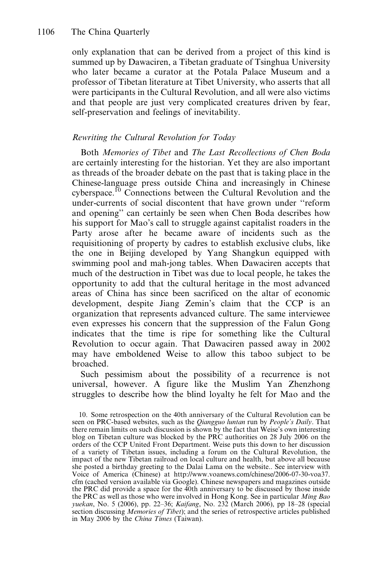only explanation that can be derived from a project of this kind is summed up by Dawaciren, a Tibetan graduate of Tsinghua University who later became a curator at the Potala Palace Museum and a professor of Tibetan literature at Tibet University, who asserts that all were participants in the Cultural Revolution, and all were also victims and that people are just very complicated creatures driven by fear, self-preservation and feelings of inevitability.

#### Rewriting the Cultural Revolution for Today

Both Memories of Tibet and The Last Recollections of Chen Boda are certainly interesting for the historian. Yet they are also important as threads of the broader debate on the past that is taking place in the Chinese-language press outside China and increasingly in Chinese cyberspace.<sup>10</sup> Connections between the Cultural Revolution and the under-currents of social discontent that have grown under "reform and opening" can certainly be seen when Chen Boda describes how his support for Mao's call to struggle against capitalist roaders in the Party arose after he became aware of incidents such as the requisitioning of property by cadres to establish exclusive clubs, like the one in Beijing developed by Yang Shangkun equipped with swimming pool and mah-jong tables. When Dawaciren accepts that much of the destruction in Tibet was due to local people, he takes the opportunity to add that the cultural heritage in the most advanced areas of China has since been sacrificed on the altar of economic development, despite Jiang Zemin's claim that the CCP is an organization that represents advanced culture. The same interviewee even expresses his concern that the suppression of the Falun Gong indicates that the time is ripe for something like the Cultural Revolution to occur again. That Dawaciren passed away in 2002 may have emboldened Weise to allow this taboo subject to be broached.

Such pessimism about the possibility of a recurrence is not universal, however. A figure like the Muslim Yan Zhenzhong struggles to describe how the blind loyalty he felt for Mao and the

<sup>10.</sup> Some retrospection on the 40th anniversary of the Cultural Revolution can be seen on PRC-based websites, such as the Qiangguo luntan run by People's Daily. That there remain limits on such discussion is shown by the fact that Weise's own interesting blog on Tibetan culture was blocked by the PRC authorities on 28 July 2006 on the orders of the CCP United Front Department. Weise puts this down to her discussion of a variety of Tibetan issues, including a forum on the Cultural Revolution, the impact of the new Tibetan railroad on local culture and health, but above all because she posted a birthday greeting to the Dalai Lama on the website.. See interview with Voice of America (Chinese) at http://www.voanews.com/chinese/2006-07-30-voa37. cfm (cached version available via Google). Chinese newspapers and magazines outside the PRC did provide a space for the 40th anniversary to be discussed by those inside the PRC as well as those who were involved in Hong Kong. See in particular Ming Bao yuekan, No. 5 (2006), pp. 22-36; Kaifang, No. 232 (March 2006), pp 18-28 (special section discussing *Memories of Tibet*); and the series of retrospective articles published in May 2006 by the China Times (Taiwan).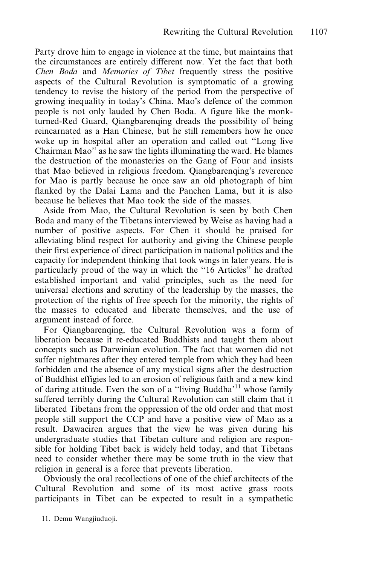Party drove him to engage in violence at the time, but maintains that the circumstances are entirely different now. Yet the fact that both Chen Boda and Memories of Tibet frequently stress the positive aspects of the Cultural Revolution is symptomatic of a growing tendency to revise the history of the period from the perspective of growing inequality in today's China. Mao's defence of the common people is not only lauded by Chen Boda. A figure like the monkturned-Red Guard, Oiangbarenging dreads the possibility of being reincarnated as a Han Chinese, but he still remembers how he once woke up in hospital after an operation and called out "Long live Chairman Mao" as he saw the lights illuminating the ward. He blames the destruction of the monasteries on the Gang of Four and insists that Mao believed in religious freedom. Oiangbarenging's reverence for Mao is partly because he once saw an old photograph of him flanked by the Dalai Lama and the Panchen Lama, but it is also because he believes that Mao took the side of the masses.

Aside from Mao, the Cultural Revolution is seen by both Chen Boda and many of the Tibetans interviewed by Weise as having had a number of positive aspects. For Chen it should be praised for alleviating blind respect for authority and giving the Chinese people their first experience of direct participation in national politics and the capacity for independent thinking that took wings in later years. He is particularly proud of the way in which the "16 Articles" he drafted established important and valid principles, such as the need for universal elections and scrutiny of the leadership by the masses, the protection of the rights of free speech for the minority, the rights of the masses to educated and liberate themselves, and the use of argument instead of force.

For Qiangbarenqing, the Cultural Revolution was a form of liberation because it re-educated Buddhists and taught them about concepts such as Darwinian evolution. The fact that women did not suffer nightmares after they entered temple from which they had been forbidden and the absence of any mystical signs after the destruction of Buddhist effigies led to an erosion of religious faith and a new kind of daring attitude. Even the son of a "living Buddha'<sup>11</sup> whose family suffered terribly during the Cultural Revolution can still claim that it liberated Tibetans from the oppression of the old order and that most people still support the CCP and have a positive view of Mao as a result. Dawaciren argues that the view he was given during his undergraduate studies that Tibetan culture and religion are responsible for holding Tibet back is widely held today, and that Tibetans need to consider whether there may be some truth in the view that religion in general is a force that prevents liberation.

Obviously the oral recollections of one of the chief architects of the Cultural Revolution and some of its most active grass roots participants in Tibet can be expected to result in a sympathetic

<sup>11.</sup> Demu Wangjiuduoji.